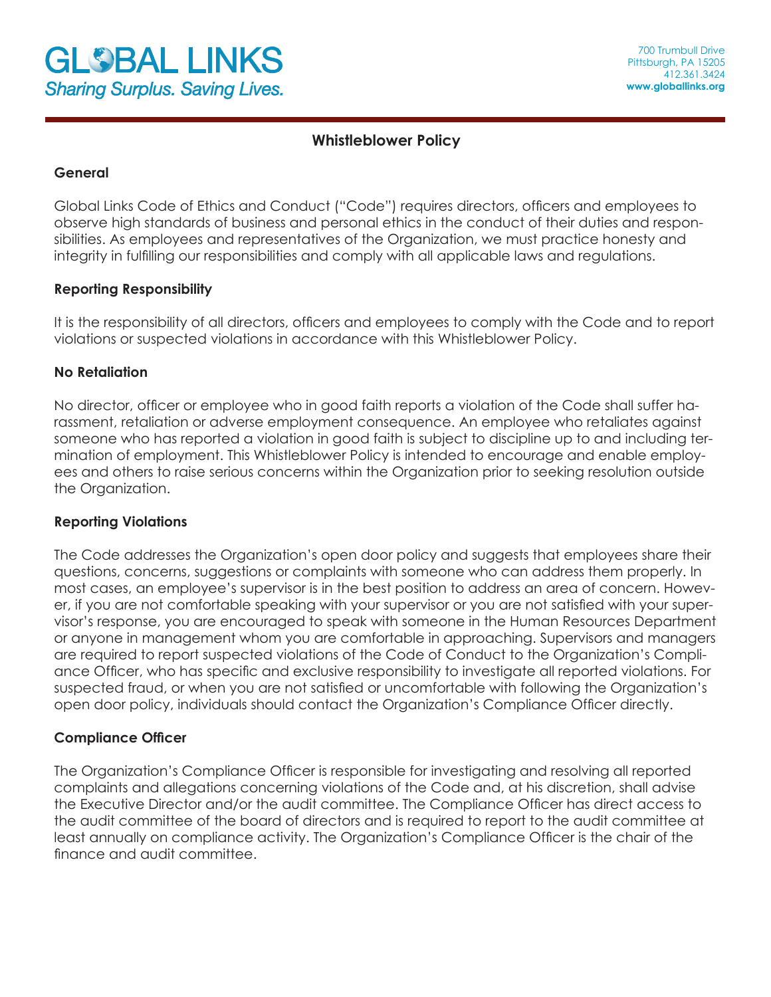# **Whistleblower Policy**

## **General**

Global Links Code of Ethics and Conduct ("Code") requires directors, officers and employees to observe high standards of business and personal ethics in the conduct of their duties and responsibilities. As employees and representatives of the Organization, we must practice honesty and integrity in fulfilling our responsibilities and comply with all applicable laws and regulations.

## **Reporting Responsibility**

It is the responsibility of all directors, officers and employees to comply with the Code and to report violations or suspected violations in accordance with this Whistleblower Policy.

#### **No Retaliation**

No director, officer or employee who in good faith reports a violation of the Code shall suffer harassment, retaliation or adverse employment consequence. An employee who retaliates against someone who has reported a violation in good faith is subject to discipline up to and including termination of employment. This Whistleblower Policy is intended to encourage and enable employees and others to raise serious concerns within the Organization prior to seeking resolution outside the Organization.

#### **Reporting Violations**

The Code addresses the Organization's open door policy and suggests that employees share their questions, concerns, suggestions or complaints with someone who can address them properly. In most cases, an employee's supervisor is in the best position to address an area of concern. However, if you are not comfortable speaking with your supervisor or you are not satisfied with your supervisor's response, you are encouraged to speak with someone in the Human Resources Department or anyone in management whom you are comfortable in approaching. Supervisors and managers are required to report suspected violations of the Code of Conduct to the Organization's Compliance Officer, who has specific and exclusive responsibility to investigate all reported violations. For suspected fraud, or when you are not satisfied or uncomfortable with following the Organization's open door policy, individuals should contact the Organization's Compliance Officer directly.

## **Compliance Officer**

The Organization's Compliance Officer is responsible for investigating and resolving all reported complaints and allegations concerning violations of the Code and, at his discretion, shall advise the Executive Director and/or the audit committee. The Compliance Officer has direct access to the audit committee of the board of directors and is required to report to the audit committee at least annually on compliance activity. The Organization's Compliance Officer is the chair of the finance and audit committee.